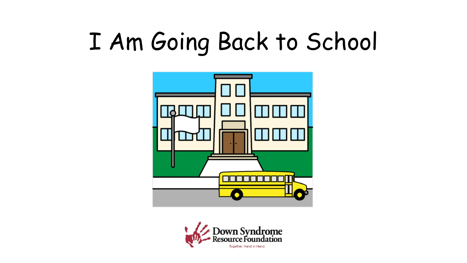# I Am Going Back to School



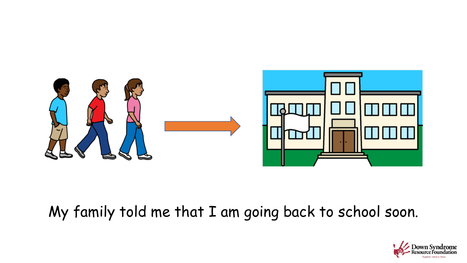

# My family told me that I am going back to school soon.

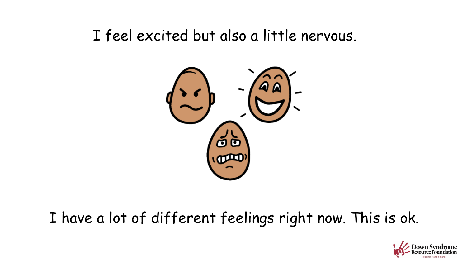#### I feel excited but also a little nervous.



#### I have a lot of different feelings right now. This is ok.

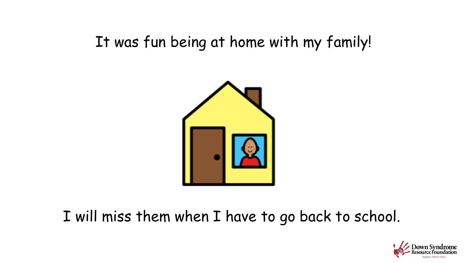#### It was fun being at home with my family!



#### I will miss them when I have to go back to school.

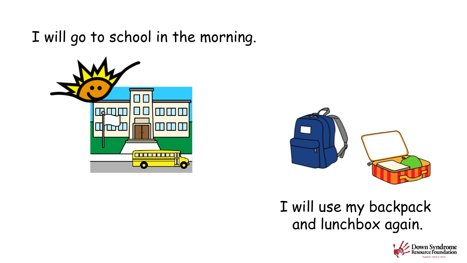I will go to school in the morning.





I will use my backpack and lunchbox again.

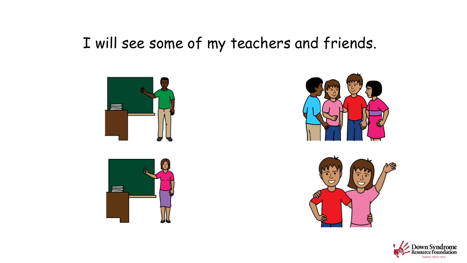I will see some of my teachers and friends.









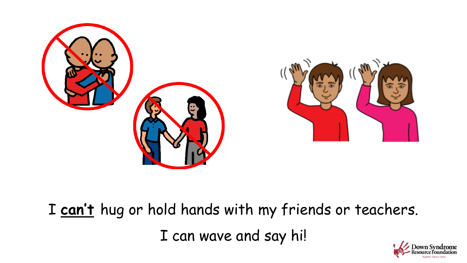



# I **can't** hug or hold hands with my friends or teachers. I can wave and say hi!

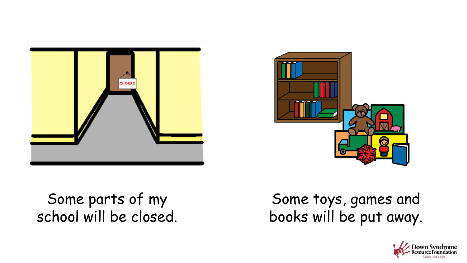



#### Some parts of my school will be closed.

Some toys, games and books will be put away.

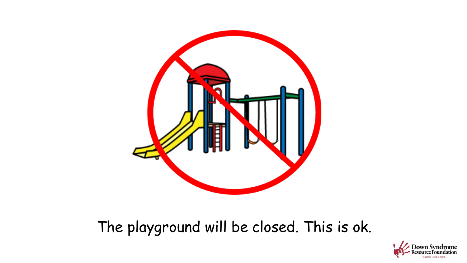

# The playground will be closed. This is ok.

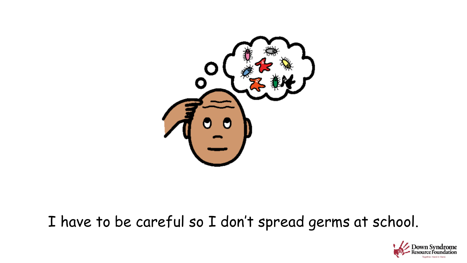

#### I have to be careful so I don't spread germs at school.

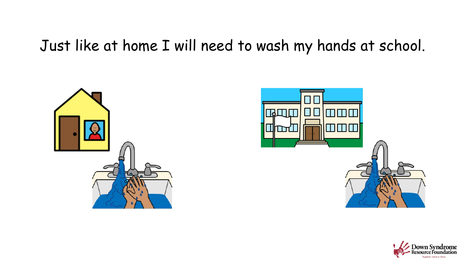#### Just like at home I will need to wash my hands at school.





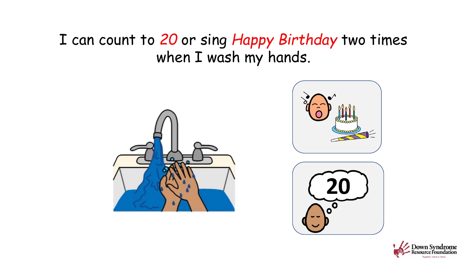#### I can count to *20* or sing *Happy Birthday* two times when I wash my hands.







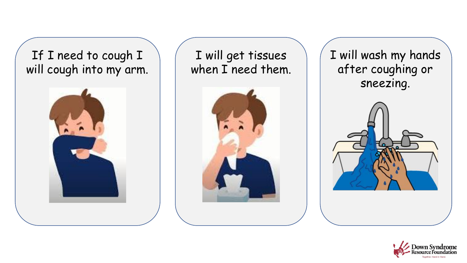If I need to cough I will cough into my arm.



I will get tissues when I need them.



I will wash my hands after coughing or sneezing.



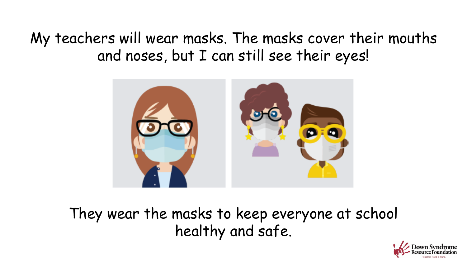My teachers will wear masks. The masks cover their mouths and noses, but I can still see their eyes!



They wear the masks to keep everyone at school healthy and safe.

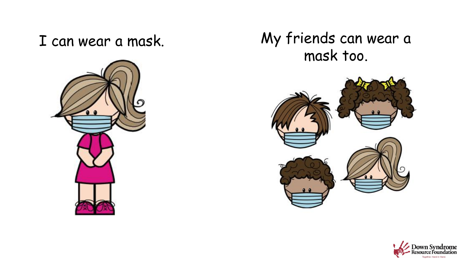#### I can wear a mask.



#### My friends can wear a mask too.



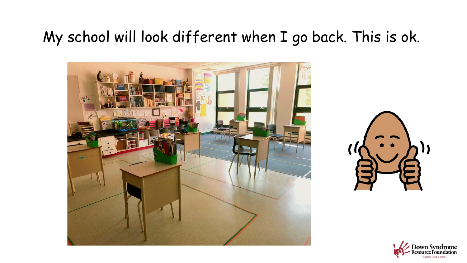# My school will look different when I go back. This is ok.





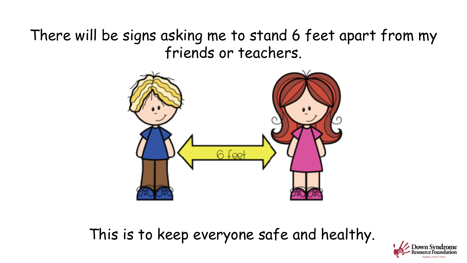There will be signs asking me to stand 6 feet apart from my friends or teachers.



This is to keep everyone safe and healthy.

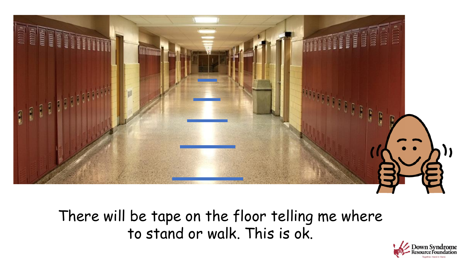

There will be tape on the floor telling me where to stand or walk. This is ok.

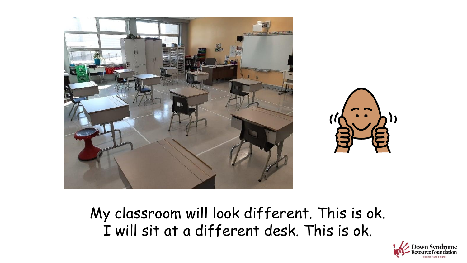



My classroom will look different. This is ok. I will sit at a different desk. This is ok.

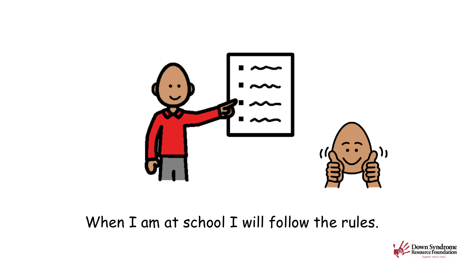

#### When I am at school I will follow the rules.

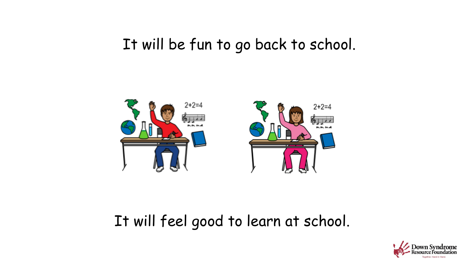#### It will be fun to go back to school.



#### It will feel good to learn at school.

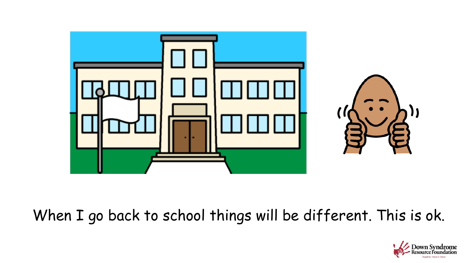

# When I go back to school things will be different. This is ok.

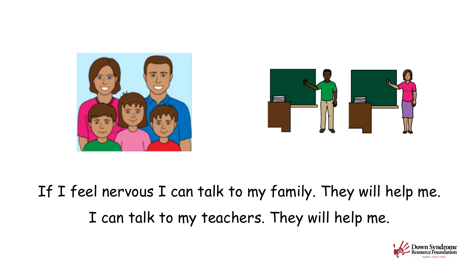

If I feel nervous I can talk to my family. They will help me. I can talk to my teachers. They will help me.